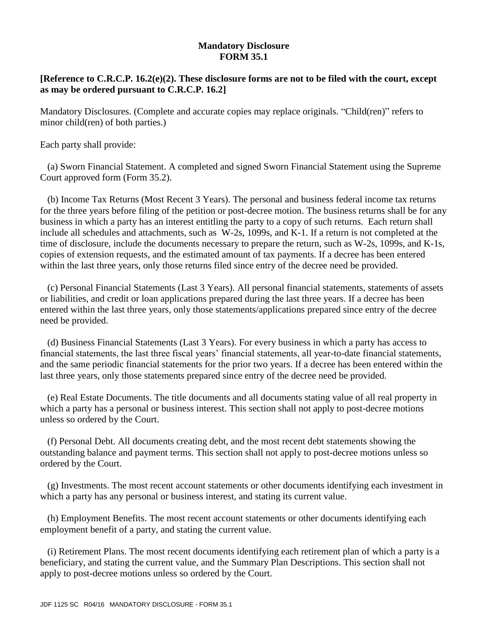## **Mandatory Disclosure FORM 35.1**

## **[Reference to C.R.C.P. 16.2(e)(2). These disclosure forms are not to be filed with the court, except as may be ordered pursuant to C.R.C.P. 16.2]**

Mandatory Disclosures. (Complete and accurate copies may replace originals. "Child(ren)" refers to minor child(ren) of both parties.)

Each party shall provide:

(a) Sworn Financial Statement. A completed and signed Sworn Financial Statement using the Supreme Court approved form (Form 35.2).

(b) Income Tax Returns (Most Recent 3 Years). The personal and business federal income tax returns for the three years before filing of the petition or post-decree motion. The business returns shall be for any business in which a party has an interest entitling the party to a copy of such returns. Each return shall include all schedules and attachments, such as W-2s, 1099s, and K-1. If a return is not completed at the time of disclosure, include the documents necessary to prepare the return, such as W-2s, 1099s, and K-1s, copies of extension requests, and the estimated amount of tax payments. If a decree has been entered within the last three years, only those returns filed since entry of the decree need be provided.

(c) Personal Financial Statements (Last 3 Years). All personal financial statements, statements of assets or liabilities, and credit or loan applications prepared during the last three years. If a decree has been entered within the last three years, only those statements/applications prepared since entry of the decree need be provided.

(d) Business Financial Statements (Last 3 Years). For every business in which a party has access to financial statements, the last three fiscal years' financial statements, all year-to-date financial statements, and the same periodic financial statements for the prior two years. If a decree has been entered within the last three years, only those statements prepared since entry of the decree need be provided.

(e) Real Estate Documents. The title documents and all documents stating value of all real property in which a party has a personal or business interest. This section shall not apply to post-decree motions unless so ordered by the Court.

(f) Personal Debt. All documents creating debt, and the most recent debt statements showing the outstanding balance and payment terms. This section shall not apply to post-decree motions unless so ordered by the Court.

(g) Investments. The most recent account statements or other documents identifying each investment in which a party has any personal or business interest, and stating its current value.

(h) Employment Benefits. The most recent account statements or other documents identifying each employment benefit of a party, and stating the current value.

(i) Retirement Plans. The most recent documents identifying each retirement plan of which a party is a beneficiary, and stating the current value, and the Summary Plan Descriptions. This section shall not apply to post-decree motions unless so ordered by the Court.